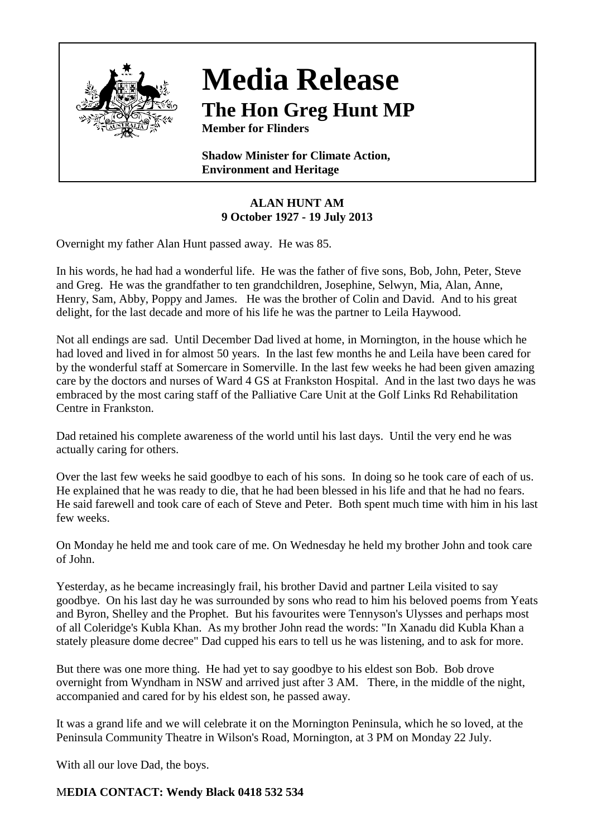

## **Media Release The Hon Greg Hunt MP**

**Member for Flinders**

**Shadow Minister for Climate Action, Environment and Heritage**

## **ALAN HUNT AM 9 October 1927 - 19 July 2013**

Overnight my father Alan Hunt passed away. He was 85.

In his words, he had had a wonderful life. He was the father of five sons, Bob, John, Peter, Steve and Greg. He was the grandfather to ten grandchildren, Josephine, Selwyn, Mia, Alan, Anne, Henry, Sam, Abby, Poppy and James. He was the brother of Colin and David. And to his great delight, for the last decade and more of his life he was the partner to Leila Haywood.

Not all endings are sad. Until December Dad lived at home, in Mornington, in the house which he had loved and lived in for almost 50 years. In the last few months he and Leila have been cared for by the wonderful staff at Somercare in Somerville. In the last few weeks he had been given amazing care by the doctors and nurses of Ward 4 GS at Frankston Hospital. And in the last two days he was embraced by the most caring staff of the Palliative Care Unit at the Golf Links Rd Rehabilitation Centre in Frankston.

Dad retained his complete awareness of the world until his last days. Until the very end he was actually caring for others.

Over the last few weeks he said goodbye to each of his sons. In doing so he took care of each of us. He explained that he was ready to die, that he had been blessed in his life and that he had no fears. He said farewell and took care of each of Steve and Peter. Both spent much time with him in his last few weeks.

On Monday he held me and took care of me. On Wednesday he held my brother John and took care of John.

Yesterday, as he became increasingly frail, his brother David and partner Leila visited to say goodbye. On his last day he was surrounded by sons who read to him his beloved poems from Yeats and Byron, Shelley and the Prophet. But his favourites were Tennyson's Ulysses and perhaps most of all Coleridge's Kubla Khan. As my brother John read the words: "In Xanadu did Kubla Khan a stately pleasure dome decree" Dad cupped his ears to tell us he was listening, and to ask for more.

But there was one more thing. He had yet to say goodbye to his eldest son Bob. Bob drove overnight from Wyndham in NSW and arrived just after 3 AM. There, in the middle of the night, accompanied and cared for by his eldest son, he passed away.

It was a grand life and we will celebrate it on the Mornington Peninsula, which he so loved, at the Peninsula Community Theatre in Wilson's Road, Mornington, at 3 PM on Monday 22 July.

With all our love Dad, the boys.

## M**EDIA CONTACT: Wendy Black 0418 532 534**